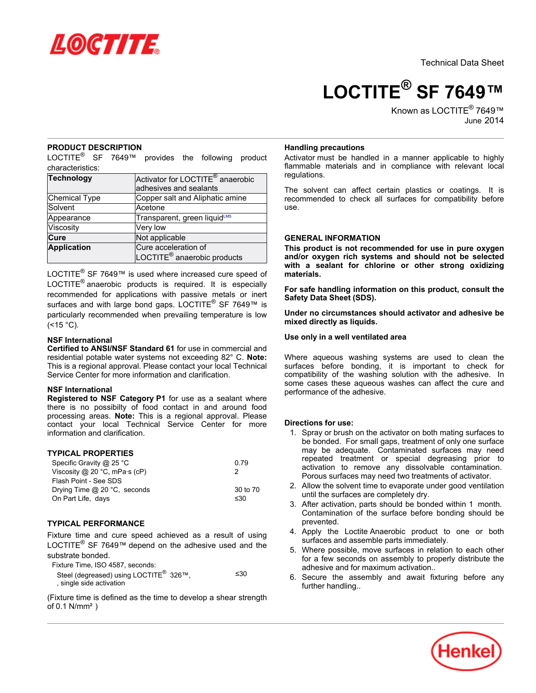

**LOCTITE® SF 7649™**

Known as LOCTITE<sup>®</sup> 7649™ June-2014

# **PRODUCT DESCRIPTION**

LOCTITE<sup>®</sup> SF 7649™ provides the following product characteristics:

| <b>Technology</b> | Activator for LOCTITE <sup>®</sup> anaerobic<br>adhesives and sealants |
|-------------------|------------------------------------------------------------------------|
| Chemical Type     | Copper salt and Aliphatic amine                                        |
| Solvent           | Acetone                                                                |
| Appearance        | Transparent, green liquid <sup>LMS</sup>                               |
| Viscosity         | Very low                                                               |
| Cure              | Not applicable                                                         |
| Application       | Cure acceleration of                                                   |
|                   | LOCTITE <sup>®</sup> anaerobic products                                |

LOCTITE<sup>®</sup> SF 7649™ is used where increased cure speed of LOCTITE<sup>®</sup> anaerobic products is required. It is especially recommended for applications with passive metals or inert surfaces and with large bond gaps. LOCTITE<sup>®</sup> SF 7649™ is particularly recommended when prevailing temperature is low  $($  < 15  $^{\circ}$ C).

### **NSF International**

**Certified to ANSI/NSF Standard 61** for use in commercial and residential potable water systems not exceeding 82° C. **Note:** This is a regional approval. Please contact your local Technical Service Center for more information and clarification.

### **NSF International**

**Registered to NSF Category P1** for use as a sealant where there is no possibilty of food contact in and around food processing areas. **Note:** This is a regional approval. Please contact your local Technical Service Center for more information and clarification.

## **TYPICAL PROPERTIES**

| Specific Gravity @ 25 °C                        | 0.79     |
|-------------------------------------------------|----------|
| Viscosity @ 20 $^{\circ}$ C, mPa $\cdot$ s (cP) | 2        |
| Flash Point - See SDS                           |          |
| Drying Time $@$ 20 °C, seconds                  | 30 to 70 |
| On Part Life, days                              | ≤30      |

## **TYPICAL PERFORMANCE**

Fixture time and cure speed achieved as a result of using LOCTITE<sup>®</sup> SF 7649™ depend on the adhesive used and the substrate bonded.

Fixture Time, ISO 4587, seconds:

| .                                                  |     |
|----------------------------------------------------|-----|
| Steel (degreased) using LOCTITE <sup>®</sup> 326™, | ≤30 |
| , single side activation                           |     |

(Fixture time is defined as the time to develop a shear strength of 0.1 N/mm²)

### **Handling precautions**

Activator must be handled in a manner applicable to highly flammable materials and in compliance with relevant local regulations.

The solvent can affect certain plastics or coatings. It is recommended to check all surfaces for compatibility before use.

# **GENERAL INFORMATION**

**This product is not recommended for use in pure oxygen and/or oxygen rich systems and should not be selected with a sealant for chlorine or other strong oxidizing materials.**

**For safe handling information on this product, consult the Safety Data Sheet (SDS).**

**Under no circumstances should activator and adhesive be mixed directly as liquids.**

### **Use only in a well ventilated area**

Where aqueous washing systems are used to clean the surfaces before bonding, it is important to check for compatibility of the washing solution with the adhesive. In some cases these aqueous washes can affect the cure and performance of the adhesive.

## **Directions for use:**

- 1. Spray or brush on the activator on both mating surfaces to be bonded. For small gaps, treatment of only one surface may be adequate. Contaminated surfaces may need repeated treatment or special degreasing prior to activation to remove any dissolvable contamination. Porous surfaces may need two treatments of activator.
- 2. Allow the solvent time to evaporate under good ventilation until the surfaces are completely dry.
- 3. After activation, parts should be bonded within 1 month. Contamination of the surface before bonding should be prevented.
- 4. Apply the Loctite Anaerobic product to one or both surfaces and assemble parts immediately.
- 5. Where possible, move surfaces in relation to each other for a few seconds on assembly to properly distribute the adhesive and for maximum activation..
- 6. Secure the assembly and await fixturing before any further handling...